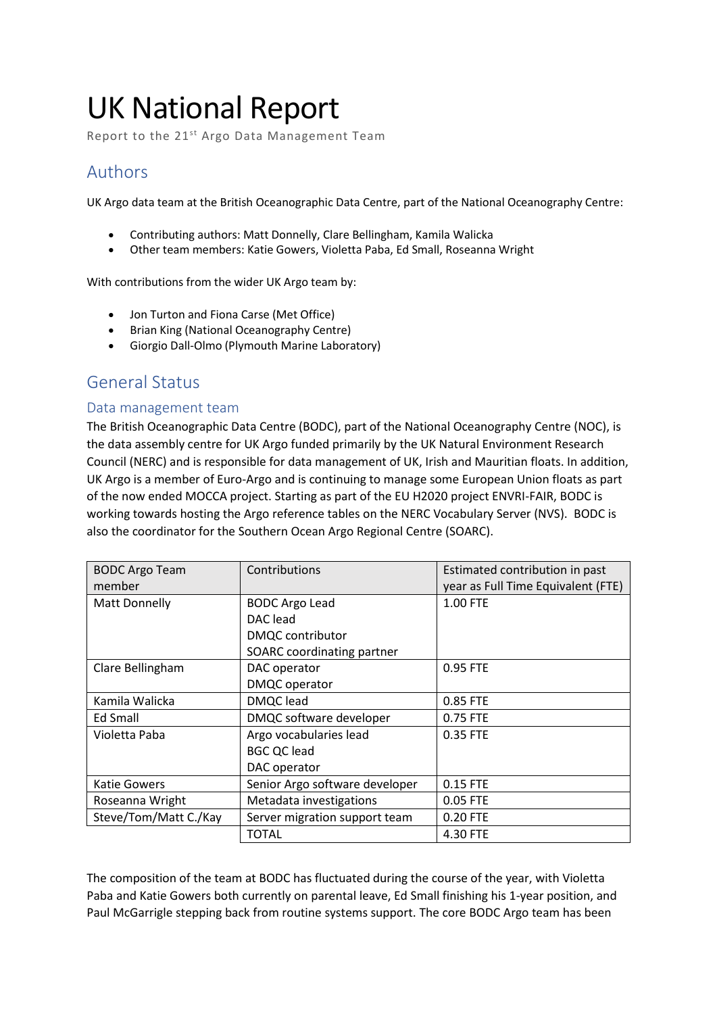# UK National Report

Report to the 21<sup>st</sup> Argo Data Management Team

# Authors

UK Argo data team at the British Oceanographic Data Centre, part of the National Oceanography Centre:

- Contributing authors: Matt Donnelly, Clare Bellingham, Kamila Walicka
- Other team members: Katie Gowers, Violetta Paba, Ed Small, Roseanna Wright

With contributions from the wider UK Argo team by:

- Jon Turton and Fiona Carse (Met Office)
- Brian King (National Oceanography Centre)
- Giorgio Dall-Olmo (Plymouth Marine Laboratory)

### General Status

### Data management team

The British Oceanographic Data Centre (BODC), part of the National Oceanography Centre (NOC), is the data assembly centre for UK Argo funded primarily by the UK Natural Environment Research Council (NERC) and is responsible for data management of UK, Irish and Mauritian floats. In addition, UK Argo is a member of Euro-Argo and is continuing to manage some European Union floats as part of the now ended MOCCA project. Starting as part of the EU H2020 project ENVRI-FAIR, BODC is working towards hosting the Argo reference tables on the NERC Vocabulary Server (NVS). BODC is also the coordinator for the Southern Ocean Argo Regional Centre (SOARC).

| <b>BODC Argo Team</b> | Contributions                  | Estimated contribution in past     |
|-----------------------|--------------------------------|------------------------------------|
| member                |                                | year as Full Time Equivalent (FTE) |
| Matt Donnelly         | <b>BODC Argo Lead</b>          | 1.00 FTE                           |
|                       | DAC lead                       |                                    |
|                       | DMQC contributor               |                                    |
|                       | SOARC coordinating partner     |                                    |
| Clare Bellingham      | DAC operator                   | 0.95 FTE                           |
|                       | DMQC operator                  |                                    |
| Kamila Walicka        | <b>DMQC</b> lead               | 0.85 FTE                           |
| Ed Small              | DMQC software developer        | 0.75 FTE                           |
| Violetta Paba         | Argo vocabularies lead         | 0.35 FTE                           |
|                       | <b>BGC QC lead</b>             |                                    |
|                       | DAC operator                   |                                    |
| <b>Katie Gowers</b>   | Senior Argo software developer | 0.15 FTE                           |
| Roseanna Wright       | Metadata investigations        | 0.05 FTE                           |
| Steve/Tom/Matt C./Kay | Server migration support team  | 0.20 FTE                           |
|                       | TOTAL                          | 4.30 FTE                           |

The composition of the team at BODC has fluctuated during the course of the year, with Violetta Paba and Katie Gowers both currently on parental leave, Ed Small finishing his 1-year position, and Paul McGarrigle stepping back from routine systems support. The core BODC Argo team has been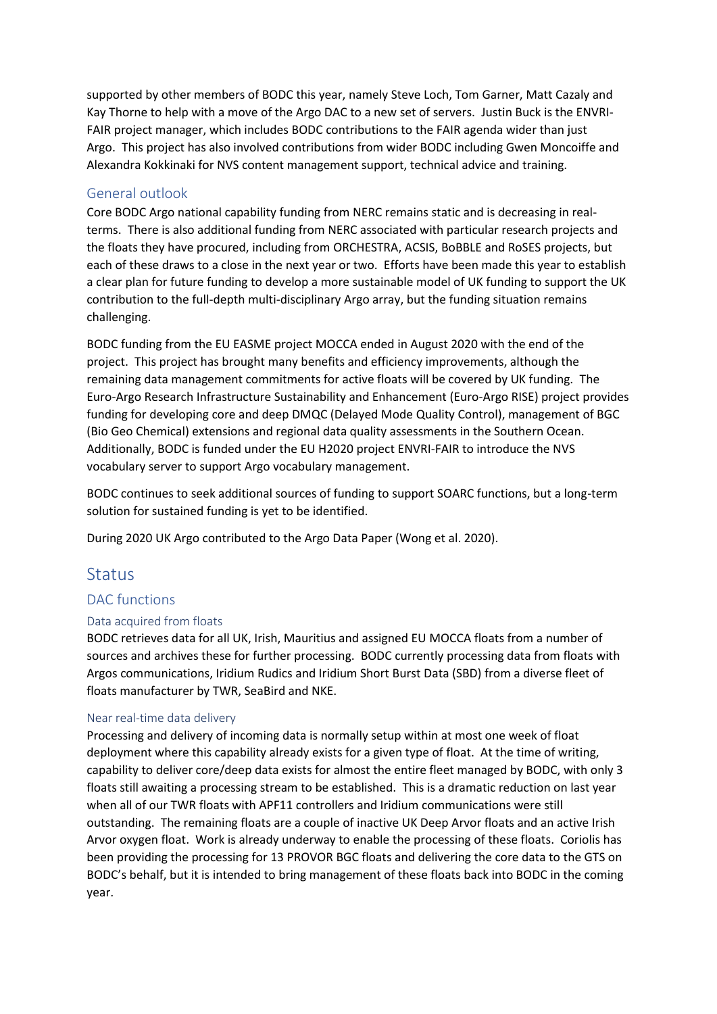supported by other members of BODC this year, namely Steve Loch, Tom Garner, Matt Cazaly and Kay Thorne to help with a move of the Argo DAC to a new set of servers. Justin Buck is the ENVRI-FAIR project manager, which includes BODC contributions to the FAIR agenda wider than just Argo. This project has also involved contributions from wider BODC including Gwen Moncoiffe and Alexandra Kokkinaki for NVS content management support, technical advice and training.

### General outlook

Core BODC Argo national capability funding from NERC remains static and is decreasing in realterms. There is also additional funding from NERC associated with particular research projects and the floats they have procured, including from ORCHESTRA, ACSIS, BoBBLE and RoSES projects, but each of these draws to a close in the next year or two. Efforts have been made this year to establish a clear plan for future funding to develop a more sustainable model of UK funding to support the UK contribution to the full-depth multi-disciplinary Argo array, but the funding situation remains challenging.

BODC funding from the EU EASME project MOCCA ended in August 2020 with the end of the project. This project has brought many benefits and efficiency improvements, although the remaining data management commitments for active floats will be covered by UK funding. The Euro-Argo Research Infrastructure Sustainability and Enhancement (Euro-Argo RISE) project provides funding for developing core and deep DMQC (Delayed Mode Quality Control), management of BGC (Bio Geo Chemical) extensions and regional data quality assessments in the Southern Ocean. Additionally, BODC is funded under the EU H2020 project ENVRI-FAIR to introduce the NVS vocabulary server to support Argo vocabulary management.

BODC continues to seek additional sources of funding to support SOARC functions, but a long-term solution for sustained funding is yet to be identified.

During 2020 UK Argo contributed to the Argo Data Paper (Wong et al. 2020).

### **Status**

### DAC functions

### Data acquired from floats

BODC retrieves data for all UK, Irish, Mauritius and assigned EU MOCCA floats from a number of sources and archives these for further processing. BODC currently processing data from floats with Argos communications, Iridium Rudics and Iridium Short Burst Data (SBD) from a diverse fleet of floats manufacturer by TWR, SeaBird and NKE.

#### Near real-time data delivery

Processing and delivery of incoming data is normally setup within at most one week of float deployment where this capability already exists for a given type of float. At the time of writing, capability to deliver core/deep data exists for almost the entire fleet managed by BODC, with only 3 floats still awaiting a processing stream to be established. This is a dramatic reduction on last year when all of our TWR floats with APF11 controllers and Iridium communications were still outstanding. The remaining floats are a couple of inactive UK Deep Arvor floats and an active Irish Arvor oxygen float. Work is already underway to enable the processing of these floats. Coriolis has been providing the processing for 13 PROVOR BGC floats and delivering the core data to the GTS on BODC's behalf, but it is intended to bring management of these floats back into BODC in the coming year.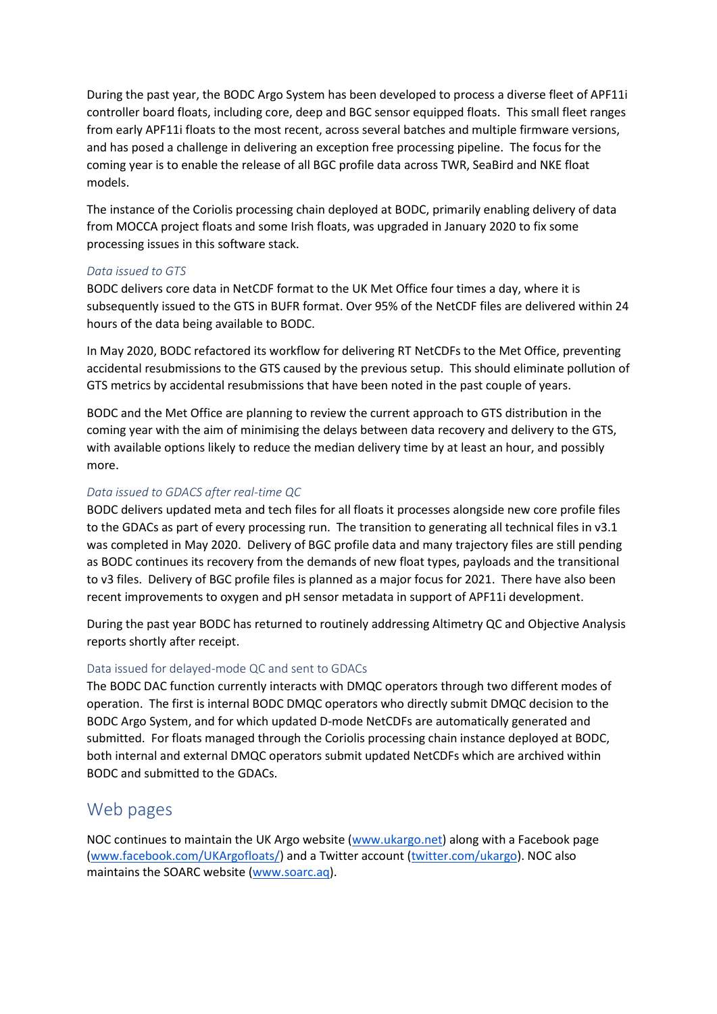During the past year, the BODC Argo System has been developed to process a diverse fleet of APF11i controller board floats, including core, deep and BGC sensor equipped floats. This small fleet ranges from early APF11i floats to the most recent, across several batches and multiple firmware versions, and has posed a challenge in delivering an exception free processing pipeline. The focus for the coming year is to enable the release of all BGC profile data across TWR, SeaBird and NKE float models.

The instance of the Coriolis processing chain deployed at BODC, primarily enabling delivery of data from MOCCA project floats and some Irish floats, was upgraded in January 2020 to fix some processing issues in this software stack.

### *Data issued to GTS*

BODC delivers core data in NetCDF format to the UK Met Office four times a day, where it is subsequently issued to the GTS in BUFR format. Over 95% of the NetCDF files are delivered within 24 hours of the data being available to BODC.

In May 2020, BODC refactored its workflow for delivering RT NetCDFs to the Met Office, preventing accidental resubmissions to the GTS caused by the previous setup. This should eliminate pollution of GTS metrics by accidental resubmissions that have been noted in the past couple of years.

BODC and the Met Office are planning to review the current approach to GTS distribution in the coming year with the aim of minimising the delays between data recovery and delivery to the GTS, with available options likely to reduce the median delivery time by at least an hour, and possibly more.

### *Data issued to GDACS after real-time QC*

BODC delivers updated meta and tech files for all floats it processes alongside new core profile files to the GDACs as part of every processing run. The transition to generating all technical files in v3.1 was completed in May 2020. Delivery of BGC profile data and many trajectory files are still pending as BODC continues its recovery from the demands of new float types, payloads and the transitional to v3 files. Delivery of BGC profile files is planned as a major focus for 2021. There have also been recent improvements to oxygen and pH sensor metadata in support of APF11i development.

During the past year BODC has returned to routinely addressing Altimetry QC and Objective Analysis reports shortly after receipt.

### Data issued for delayed-mode QC and sent to GDACs

The BODC DAC function currently interacts with DMQC operators through two different modes of operation. The first is internal BODC DMQC operators who directly submit DMQC decision to the BODC Argo System, and for which updated D-mode NetCDFs are automatically generated and submitted. For floats managed through the Coriolis processing chain instance deployed at BODC, both internal and external DMQC operators submit updated NetCDFs which are archived within BODC and submitted to the GDACs.

# Web pages

NOC continues to maintain the UK Argo website [\(www.ukargo.net\)](http://www.ukargo.net/) along with a Facebook page [\(www.facebook.com/UKArgofloats/\)](http://www.facebook.com/UKArgofloats/) and a Twitter account [\(twitter.com/ukargo\)](http://twitter.com/ukargo). NOC also maintains the SOARC website [\(www.soarc.aq\)](http://www.soarc.aq/).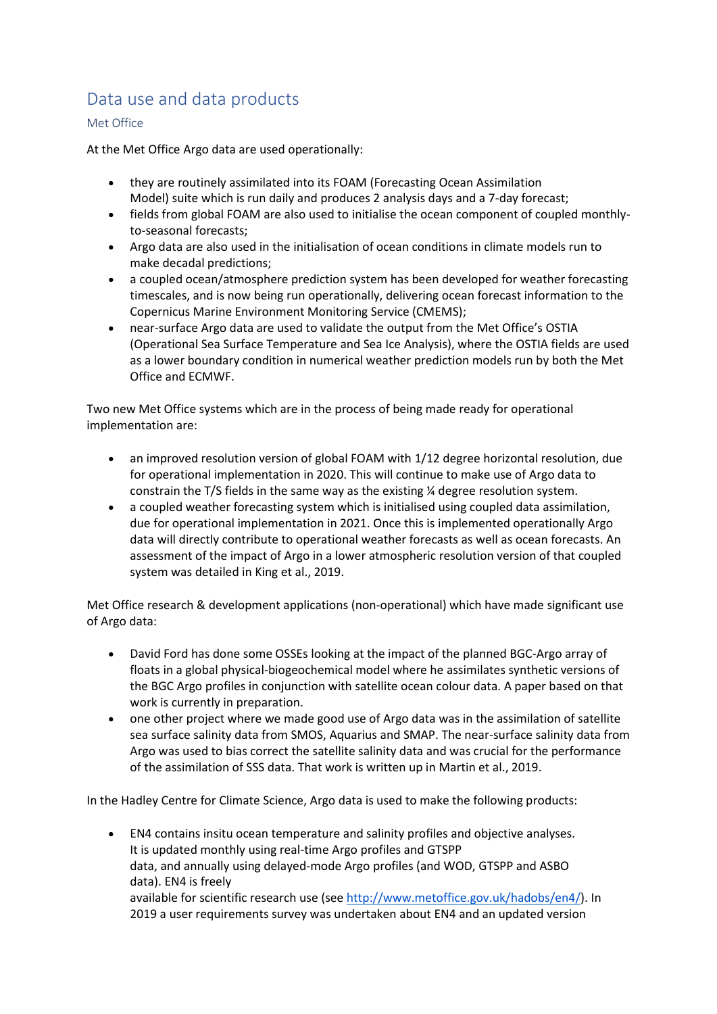# Data use and data products

### Met Office

At the Met Office Argo data are used operationally:

- they are routinely assimilated into its FOAM (Forecasting Ocean Assimilation Model) suite which is run daily and produces 2 analysis days and a 7-day forecast;
- fields from global FOAM are also used to initialise the ocean component of coupled monthlyto-seasonal forecasts;
- Argo data are also used in the initialisation of ocean conditions in climate models run to make decadal predictions;
- a coupled ocean/atmosphere prediction system has been developed for weather forecasting timescales, and is now being run operationally, delivering ocean forecast information to the Copernicus Marine Environment Monitoring Service (CMEMS);
- near-surface Argo data are used to validate the output from the Met Office's OSTIA (Operational Sea Surface Temperature and Sea Ice Analysis), where the OSTIA fields are used as a lower boundary condition in numerical weather prediction models run by both the Met Office and ECMWF.

Two new Met Office systems which are in the process of being made ready for operational implementation are:

- an improved resolution version of global FOAM with 1/12 degree horizontal resolution, due for operational implementation in 2020. This will continue to make use of Argo data to constrain the T/S fields in the same way as the existing ¼ degree resolution system.
- a coupled weather forecasting system which is initialised using coupled data assimilation, due for operational implementation in 2021. Once this is implemented operationally Argo data will directly contribute to operational weather forecasts as well as ocean forecasts. An assessment of the impact of Argo in a lower atmospheric resolution version of that coupled system was detailed in King et al., 2019.

Met Office research & development applications (non-operational) which have made significant use of Argo data:

- David Ford has done some OSSEs looking at the impact of the planned BGC-Argo array of floats in a global physical-biogeochemical model where he assimilates synthetic versions of the BGC Argo profiles in conjunction with satellite ocean colour data. A paper based on that work is currently in preparation.
- one other project where we made good use of Argo data was in the assimilation of satellite sea surface salinity data from SMOS, Aquarius and SMAP. The near-surface salinity data from Argo was used to bias correct the satellite salinity data and was crucial for the performance of the assimilation of SSS data. That work is written up in Martin et al., 2019.

In the Hadley Centre for Climate Science, Argo data is used to make the following products:

• EN4 contains insitu ocean temperature and salinity profiles and objective analyses. It is updated monthly using real‐time Argo profiles and GTSPP data, and annually using delayed‐mode Argo profiles (and WOD, GTSPP and ASBO data). EN4 is freely available for scientific research use (see [http://www.metoffice.gov.uk/hadobs/en4/\)](http://www.metoffice.gov.uk/hadobs/en4/). In 2019 a user requirements survey was undertaken about EN4 and an updated version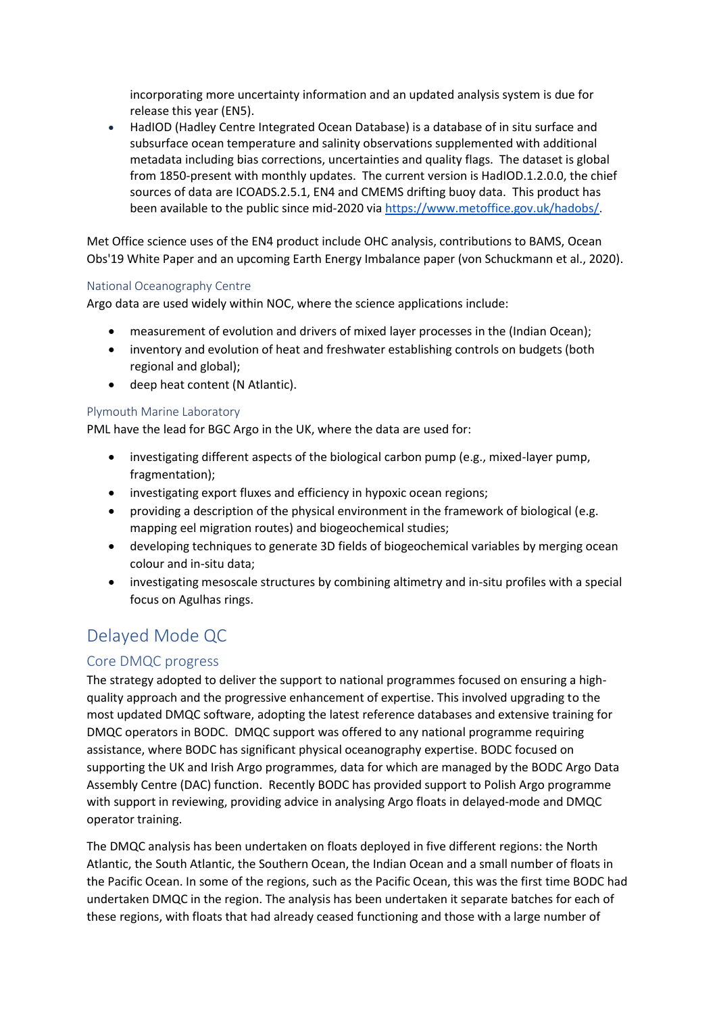incorporating more uncertainty information and an updated analysis system is due for release this year (EN5).

• HadIOD (Hadley Centre Integrated Ocean Database) is a database of in situ surface and subsurface ocean temperature and salinity observations supplemented with additional metadata including bias corrections, uncertainties and quality flags.  The dataset is global from 1850-present with monthly updates.  The current version is HadIOD.1.2.0.0, the chief sources of data are ICOADS.2.5.1, EN4 and CMEMS drifting buoy data.  This product has been available to the public since mid-2020 via [https://www.metoffice.gov.uk/hadobs/.](https://www.metoffice.gov.uk/hadobs/)

Met Office science uses of the EN4 product include OHC analysis, contributions to BAMS, Ocean Obs'19 White Paper and an upcoming Earth Energy Imbalance paper (von Schuckmann et al., 2020).

#### National Oceanography Centre

Argo data are used widely within NOC, where the science applications include:

- measurement of evolution and drivers of mixed layer processes in the (Indian Ocean);
- inventory and evolution of heat and freshwater establishing controls on budgets (both regional and global);
- deep heat content (N Atlantic).

#### Plymouth Marine Laboratory

PML have the lead for BGC Argo in the UK, where the data are used for:

- investigating different aspects of the biological carbon pump (e.g., mixed-layer pump, fragmentation);
- investigating export fluxes and efficiency in hypoxic ocean regions;
- providing a description of the physical environment in the framework of biological (e.g. mapping eel migration routes) and biogeochemical studies;
- developing techniques to generate 3D fields of biogeochemical variables by merging ocean colour and in-situ data;
- investigating mesoscale structures by combining altimetry and in-situ profiles with a special focus on Agulhas rings.

# Delayed Mode QC

### Core DMQC progress

The strategy adopted to deliver the support to national programmes focused on ensuring a highquality approach and the progressive enhancement of expertise. This involved upgrading to the most updated DMQC software, adopting the latest reference databases and extensive training for DMQC operators in BODC. DMQC support was offered to any national programme requiring assistance, where BODC has significant physical oceanography expertise. BODC focused on supporting the UK and Irish Argo programmes, data for which are managed by the BODC Argo Data Assembly Centre (DAC) function. Recently BODC has provided support to Polish Argo programme with support in reviewing, providing advice in analysing Argo floats in delayed-mode and DMQC operator training.

The DMQC analysis has been undertaken on floats deployed in five different regions: the North Atlantic, the South Atlantic, the Southern Ocean, the Indian Ocean and a small number of floats in the Pacific Ocean. In some of the regions, such as the Pacific Ocean, this was the first time BODC had undertaken DMQC in the region. The analysis has been undertaken it separate batches for each of these regions, with floats that had already ceased functioning and those with a large number of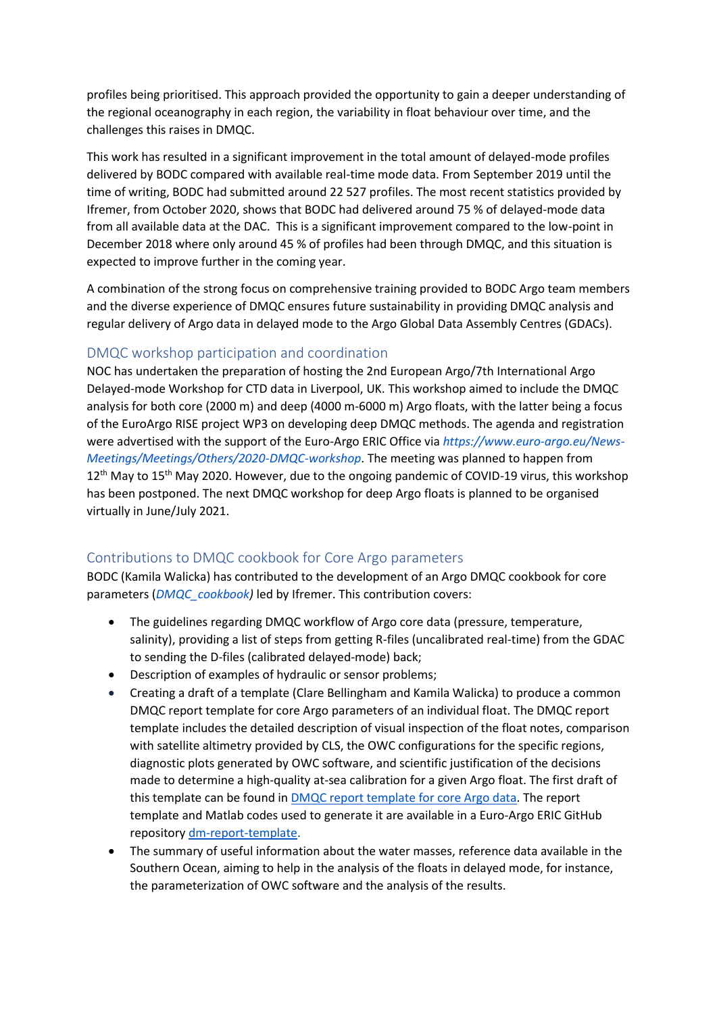profiles being prioritised. This approach provided the opportunity to gain a deeper understanding of the regional oceanography in each region, the variability in float behaviour over time, and the challenges this raises in DMQC.

This work has resulted in a significant improvement in the total amount of delayed-mode profiles delivered by BODC compared with available real-time mode data. From September 2019 until the time of writing, BODC had submitted around 22 527 profiles. The most recent statistics provided by Ifremer, from October 2020, shows that BODC had delivered around 75 % of delayed-mode data from all available data at the DAC. This is a significant improvement compared to the low-point in December 2018 where only around 45 % of profiles had been through DMQC, and this situation is expected to improve further in the coming year.

A combination of the strong focus on comprehensive training provided to BODC Argo team members and the diverse experience of DMQC ensures future sustainability in providing DMQC analysis and regular delivery of Argo data in delayed mode to the Argo Global Data Assembly Centres (GDACs).

### DMQC workshop participation and coordination

NOC has undertaken the preparation of hosting the 2nd European Argo/7th International Argo Delayed-mode Workshop for CTD data in Liverpool, UK. This workshop aimed to include the DMQC analysis for both core (2000 m) and deep (4000 m-6000 m) Argo floats, with the latter being a focus of the EuroArgo RISE project WP3 on developing deep DMQC methods. The agenda and registration were advertised with the support of the Euro-Argo ERIC Office via *[https://www.euro-argo.eu/News-](https://www.euro-argo.eu/News-Meetings/Meetings/Others/2020-DMQC-workshop)[Meetings/Meetings/Others/2020-DMQC-workshop](https://www.euro-argo.eu/News-Meetings/Meetings/Others/2020-DMQC-workshop)*. The meeting was planned to happen from  $12<sup>th</sup>$  May to  $15<sup>th</sup>$  May 2020. However, due to the ongoing pandemic of COVID-19 virus, this workshop has been postponed. The next DMQC workshop for deep Argo floats is planned to be organised virtually in June/July 2021.

### Contributions to DMQC cookbook for Core Argo parameters

BODC (Kamila Walicka) has contributed to the development of an Argo DMQC cookbook for core parameters (*[DMQC\\_cookbook\)](https://docs.google.com/document/d/18ijKY1SoLE-L3WmBM4kgUoAQEsQkNltasbnMUmfdmig/edit?usp=sharing)* led by Ifremer. This contribution covers:

- The guidelines regarding DMQC workflow of Argo core data (pressure, temperature, salinity), providing a list of steps from getting R-files (uncalibrated real-time) from the GDAC to sending the D-files (calibrated delayed-mode) back;
- Description of examples of hydraulic or sensor problems;
- Creating a draft of a template (Clare Bellingham and Kamila Walicka) to produce a common DMQC report template for core Argo parameters of an individual float. The DMQC report template includes the detailed description of visual inspection of the float notes, comparison with satellite altimetry provided by CLS, the OWC configurations for the specific regions, diagnostic plots generated by OWC software, and scientific justification of the decisions made to determine a high-quality at-sea calibration for a given Argo float. The first draft of this template can be found in [DMQC report template for core Argo data.](https://www.overleaf.com/read/xhnxyjcfmkmc) The report template and Matlab codes used to generate it are available in a Euro-Argo ERIC GitHub repository [dm-report-template.](https://github.com/euroargodev/dm-report-template)
- The summary of useful information about the water masses, reference data available in the Southern Ocean, aiming to help in the analysis of the floats in delayed mode, for instance, the parameterization of OWC software and the analysis of the results.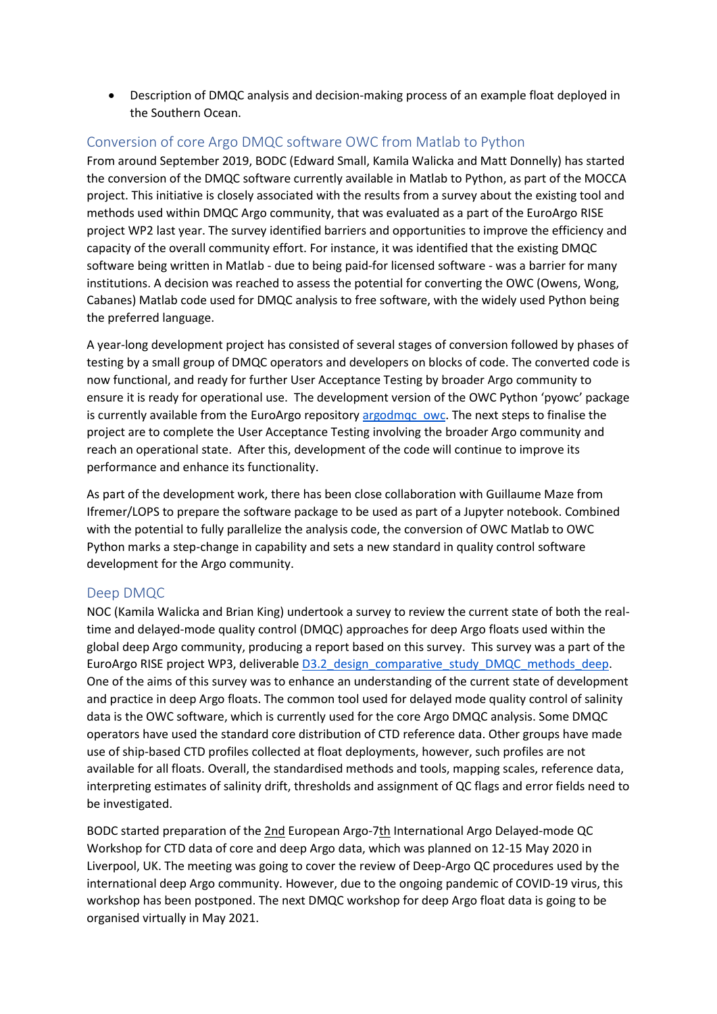• Description of DMQC analysis and decision-making process of an example float deployed in the Southern Ocean.

### Conversion of core Argo DMQC software OWC from Matlab to Python

From around September 2019, BODC (Edward Small, Kamila Walicka and Matt Donnelly) has started the conversion of the DMQC software currently available in Matlab to Python, as part of the MOCCA project. This initiative is closely associated with the results from a survey about the existing tool and methods used within DMQC Argo community, that was evaluated as a part of the EuroArgo RISE project WP2 last year. The survey identified barriers and opportunities to improve the efficiency and capacity of the overall community effort. For instance, it was identified that the existing DMQC software being written in Matlab - due to being paid-for licensed software - was a barrier for many institutions. A decision was reached to assess the potential for converting the OWC (Owens, Wong, Cabanes) Matlab code used for DMQC analysis to free software, with the widely used Python being the preferred language.

A year-long development project has consisted of several stages of conversion followed by phases of testing by a small group of DMQC operators and developers on blocks of code. The converted code is now functional, and ready for further User Acceptance Testing by broader Argo community to ensure it is ready for operational use. The development version of the OWC Python 'pyowc' package is currently available from the EuroArgo repository [argodmqc\\_owc.](https://github.com/euroargodev/argodmqc_owc) The next steps to finalise the project are to complete the User Acceptance Testing involving the broader Argo community and reach an operational state. After this, development of the code will continue to improve its performance and enhance its functionality.

As part of the development work, there has been close collaboration with Guillaume Maze from Ifremer/LOPS to prepare the software package to be used as part of a Jupyter notebook. Combined with the potential to fully parallelize the analysis code, the conversion of OWC Matlab to OWC Python marks a step-change in capability and sets a new standard in quality control software development for the Argo community.

### Deep DMQC

NOC (Kamila Walicka and Brian King) undertook a survey to review the current state of both the realtime and delayed-mode quality control (DMQC) approaches for deep Argo floats used within the global deep Argo community, producing a report based on this survey. This survey was a part of the EuroArgo RISE project WP3, deliverable D3.2 design\_comparative\_study\_DMQC\_methods\_deep. One of the aims of this survey was to enhance an understanding of the current state of development and practice in deep Argo floats. The common tool used for delayed mode quality control of salinity data is the OWC software, which is currently used for the core Argo DMQC analysis. Some DMQC operators have used the standard core distribution of CTD reference data. Other groups have made use of ship-based CTD profiles collected at float deployments, however, such profiles are not available for all floats. Overall, the standardised methods and tools, mapping scales, reference data, interpreting estimates of salinity drift, thresholds and assignment of QC flags and error fields need to be investigated.

BODC started preparation of the [2nd](https://wiki.ceh.ac.uk/pages/viewpage.action?pageId=508467073) European Argo-[7th](https://wiki.ceh.ac.uk/pages/viewpage.action?pageId=508467073) International Argo Delayed-mode QC Workshop for CTD data of core and deep Argo data, which was planned on 12-15 May 2020 in Liverpool, UK. The meeting was going to cover the review of Deep-Argo QC procedures used by the international deep Argo community. However, due to the ongoing pandemic of COVID-19 virus, this workshop has been postponed. The next DMQC workshop for deep Argo float data is going to be organised virtually in May 2021.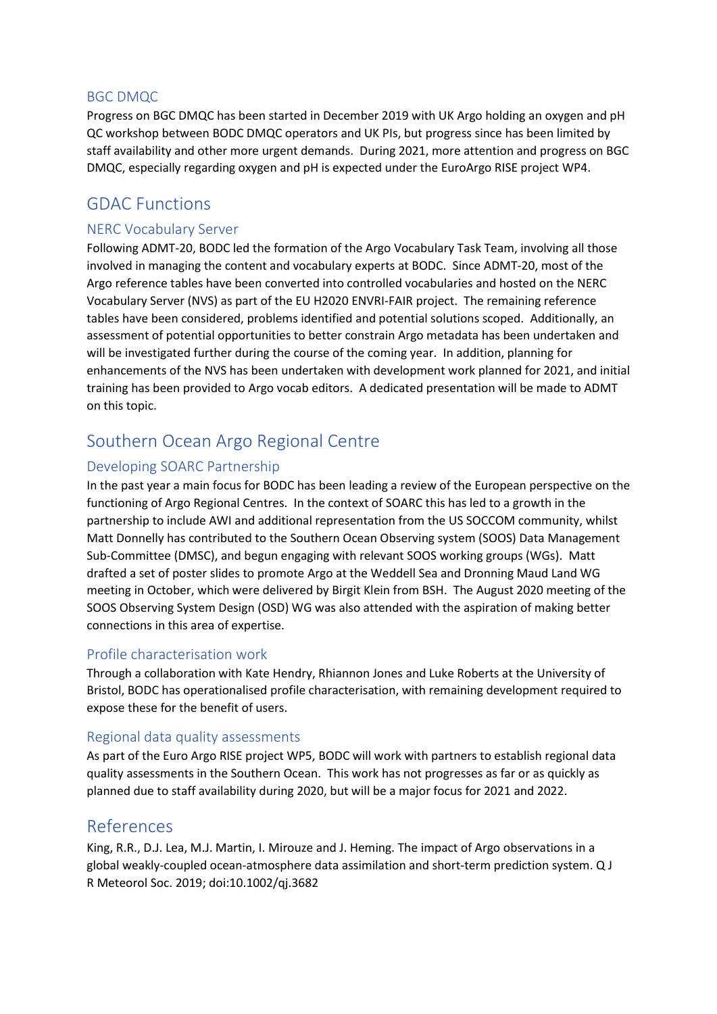#### BGC DMQC

Progress on BGC DMQC has been started in December 2019 with UK Argo holding an oxygen and pH QC workshop between BODC DMQC operators and UK PIs, but progress since has been limited by staff availability and other more urgent demands. During 2021, more attention and progress on BGC DMQC, especially regarding oxygen and pH is expected under the EuroArgo RISE project WP4.

### GDAC Functions

### NERC Vocabulary Server

Following ADMT-20, BODC led the formation of the Argo Vocabulary Task Team, involving all those involved in managing the content and vocabulary experts at BODC. Since ADMT-20, most of the Argo reference tables have been converted into controlled vocabularies and hosted on the NERC Vocabulary Server (NVS) as part of the EU H2020 ENVRI-FAIR project. The remaining reference tables have been considered, problems identified and potential solutions scoped. Additionally, an assessment of potential opportunities to better constrain Argo metadata has been undertaken and will be investigated further during the course of the coming year. In addition, planning for enhancements of the NVS has been undertaken with development work planned for 2021, and initial training has been provided to Argo vocab editors. A dedicated presentation will be made to ADMT on this topic.

# Southern Ocean Argo Regional Centre

### Developing SOARC Partnership

In the past year a main focus for BODC has been leading a review of the European perspective on the functioning of Argo Regional Centres. In the context of SOARC this has led to a growth in the partnership to include AWI and additional representation from the US SOCCOM community, whilst Matt Donnelly has contributed to the Southern Ocean Observing system (SOOS) Data Management Sub-Committee (DMSC), and begun engaging with relevant SOOS working groups (WGs). Matt drafted a set of poster slides to promote Argo at the Weddell Sea and Dronning Maud Land WG meeting in October, which were delivered by Birgit Klein from BSH. The August 2020 meeting of the SOOS Observing System Design (OSD) WG was also attended with the aspiration of making better connections in this area of expertise.

### Profile characterisation work

Through a collaboration with Kate Hendry, Rhiannon Jones and Luke Roberts at the University of Bristol, BODC has operationalised profile characterisation, with remaining development required to expose these for the benefit of users.

#### Regional data quality assessments

As part of the Euro Argo RISE project WP5, BODC will work with partners to establish regional data quality assessments in the Southern Ocean. This work has not progresses as far or as quickly as planned due to staff availability during 2020, but will be a major focus for 2021 and 2022.

### References

King, R.R., D.J. Lea, M.J. Martin, I. Mirouze and J. Heming. The impact of Argo observations in a global weakly-coupled ocean-atmosphere data assimilation and short-term prediction system. Q J R Meteorol Soc. 2019; doi:10.1002/qj.3682